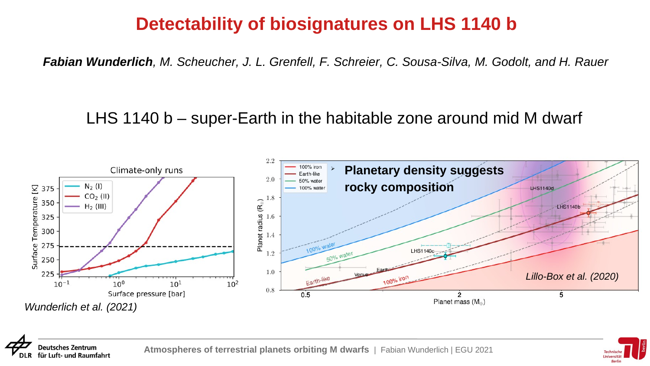## **Detectability of biosignatures on LHS 1140 b**

*Fabian Wunderlich, M. Scheucher, J. L. Grenfell, F. Schreier, C. Sousa-Silva, M. Godolt, and H. Rauer*

## LHS 1140 b – super-Earth in the habitable zone around mid M dwarf



![](_page_0_Picture_4.jpeg)

**Deutsches Zentrum** für Luft- und Raumfahrt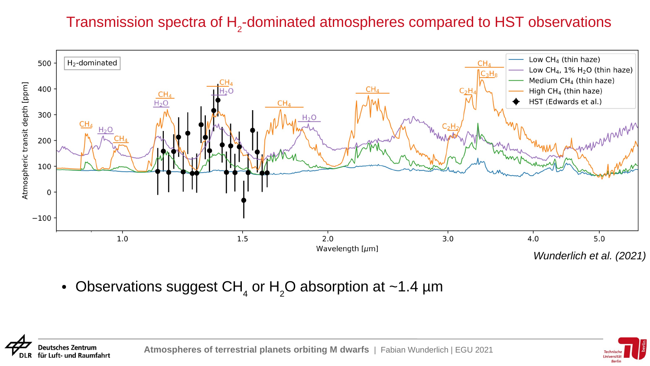## Transmission spectra of  $\mathsf{H}_2$ -dominated atmospheres compared to HST observations

![](_page_1_Figure_1.jpeg)

• Observations suggest CH $_{\textrm{\tiny{A}}}$  or H $_{\textrm{\tiny{2}}}$ O absorption at ~1.4  $\mu$ m

**Deutsches Zentrum** für Luft- und Raumfahrt **Atmospheres of terrestrial planets orbiting M dwarfs** | Fabian Wunderlich | EGU 2021